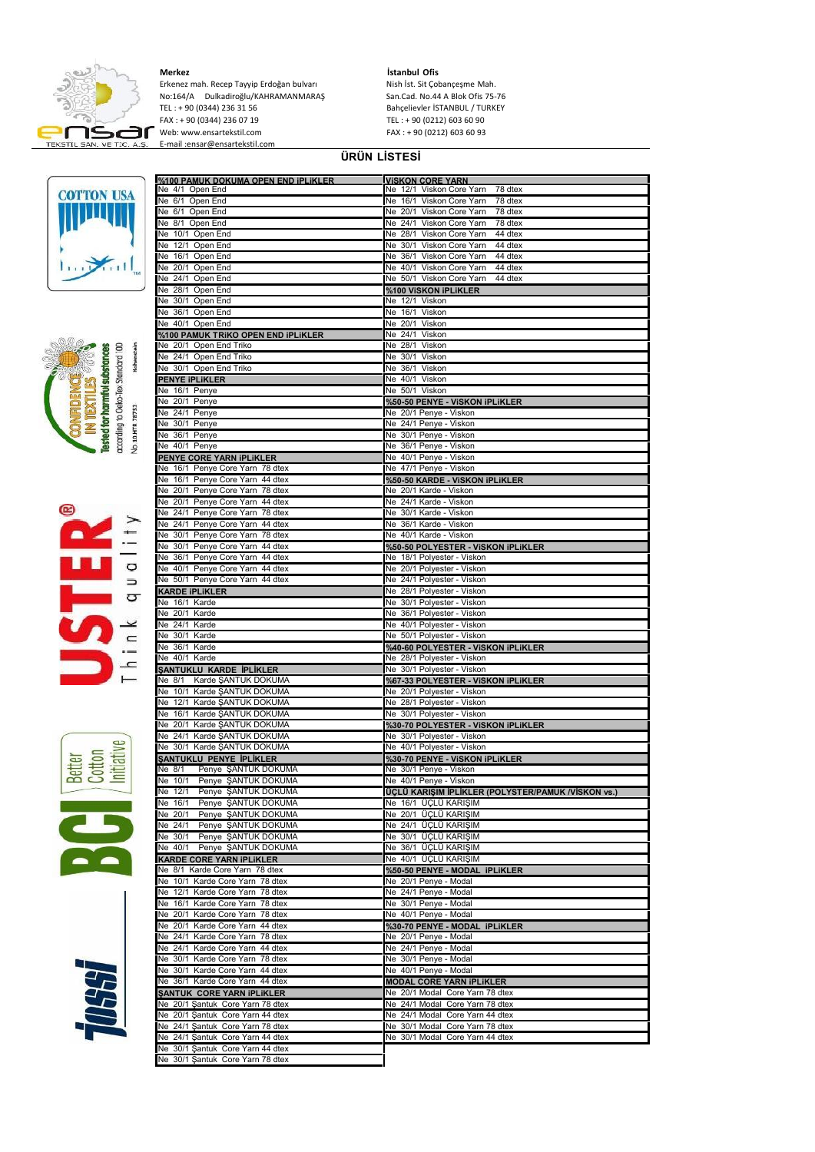

**Merkez İstanbul Ofis** Erkenez mah. Recep Tayyip Erdoğan bulvarı Nish İst. Sit Çobançeşme Mah.<br>No:164/A Dulkadiroğlu/KAHRAMANMARAŞ San.Cad. No.44 A Blok Ofis 75-76 No:164/A Dulkadiroğlu/KAHRAMANMARAŞ<br>TEL : + 90 (0344) 236 31 56<br>FAX : + 90 (0344) 236 07 19 TEL : + 90 (0344) 236 31 56 Bahçelievler İSTANBUL / TURKEY FAX : + 90 (0344) 236 07 19 TEL : + 90 (0212) 603 60 90 Web: www.ensartekstil.com FAX : + 90 (0212) 603 60 93 E-mail :ensar@ensartekstil.com

## **ÜRÜN LİSTESİ**











| %100 PAMUK DOKUMA OPEN END IPI IKI ER                                                                    |                                                    |
|----------------------------------------------------------------------------------------------------------|----------------------------------------------------|
|                                                                                                          | <b>VISKON CORF YARN</b>                            |
| Ne 4/1 Open End                                                                                          | Ne 12/1 Viskon Core Yarn<br>78 dtex                |
| Ne 6/1 Open End                                                                                          | Ne 16/1 Viskon Core Yarn<br>78 dtex                |
| Ne 6/1 Open End                                                                                          | Ne 20/1 Viskon Core Yarn<br>78 dtex                |
| Ne 8/1 Open End                                                                                          | Ne 24/1 Viskon Core Yarn<br>78 dtex                |
| Ne 10/1 Open End                                                                                         | Ne 28/1 Viskon Core Yarn<br>44 dtex                |
| Ne 12/1 Open End                                                                                         | Ne 30/1 Viskon Core Yarn<br>44 dtex                |
| Ne 16/1 Open End                                                                                         | Ne 36/1 Viskon Core Yarn<br>44 dtex                |
|                                                                                                          | Ne 40/1 Viskon Core Yarn<br>44 dtex                |
| Ne 20/1 Open End                                                                                         |                                                    |
| Ne 24/1 Open End                                                                                         | Ne 50/1 Viskon Core Yarn<br>44 dtex                |
| Ne 28/1 Open End                                                                                         | %100 ViSKON iPLIKLER                               |
| Ne 30/1 Open End                                                                                         | Ne 12/1 Viskon                                     |
| Ne 36/1 Open End                                                                                         | Ne 16/1 Viskon                                     |
| Ne 40/1 Open End                                                                                         | Ne 20/1 Viskon                                     |
| %100 PAMUK TRIKO OPEN END IPLIKLER                                                                       | Ne 24/1 Viskon                                     |
| Ne 20/1 Open End Triko                                                                                   | Ne 28/1 Viskon                                     |
| Ne 24/1 Open End Triko                                                                                   | Ne 30/1 Viskon                                     |
|                                                                                                          | Ne 36/1 Viskon                                     |
| Ne 30/1 Open End Triko                                                                                   |                                                    |
| <b>PENYE IPLIKLER</b>                                                                                    | Ne 40/1 Viskon                                     |
| Ne 16/1 Penye                                                                                            | Ne 50/1 Viskon                                     |
| Ne 20/1 Penye                                                                                            | %50-50 PENYE - VISKON IPLIKLER                     |
| Ne 24/1 Penye                                                                                            | Ne 20/1 Penye - Viskon                             |
| Ne 30/1 Penye                                                                                            | Ne 24/1 Penye - Viskon                             |
| Ne 36/1 Penye                                                                                            | Ne 30/1 Penye - Viskon                             |
| Ne 40/1 Penye                                                                                            | Ne 36/1 Penye - Viskon                             |
| PENYE CORE YARN IPLIKLER                                                                                 | Ne 40/1 Penye - Viskon                             |
| Ne 16/1 Penye Core Yarn 78 dtex                                                                          | Ne 47/1 Penye - Viskon                             |
|                                                                                                          |                                                    |
| Ne 16/1 Penye Core Yarn 44 dtex                                                                          | %50-50 KARDE - VISKON IPLIKLER                     |
| Ne 20/1 Penye Core Yarn 78 dtex                                                                          | Ne 20/1 Karde - Viskon                             |
| Ne 20/1 Penye Core Yarn 44 dtex                                                                          | Ne 24/1 Karde - Viskon                             |
| Ne 24/1 Penye Core Yarn 78 dtex                                                                          | Ne 30/1 Karde - Viskon                             |
| Ne 24/1 Penye Core Yarn 44 dtex                                                                          | Ne 36/1 Karde - Viskon                             |
| Ne 30/1 Penye Core Yarn 78 dtex                                                                          | Ne 40/1 Karde - Viskon                             |
| Ne 30/1 Penye Core Yarn 44 dtex                                                                          | %50-50 POLYESTER - VISKON IPLIKLER                 |
| Ne 36/1 Penye Core Yarn 44 dtex                                                                          | Ne 18/1 Polyester - Viskon                         |
|                                                                                                          |                                                    |
| Ne 40/1 Penye Core Yarn 44 dtex                                                                          | Ne 20/1 Polyester - Viskon                         |
| Ne 50/1 Penye Core Yarn 44 dtex                                                                          | Ne 24/1 Polyester - Viskon                         |
| KARDE IPLIKLER                                                                                           | Ne 28/1 Polyester - Viskon                         |
| Ne 16/1 Karde                                                                                            | Ne 30/1 Polyester - Viskon                         |
| Ne 20/1 Karde                                                                                            | Ne 36/1 Polyester - Viskon                         |
| Ne 24/1 Karde                                                                                            | Ne 40/1 Polyester - Viskon                         |
| Ne 30/1 Karde                                                                                            | Ne 50/1 Polyester - Viskon                         |
| Ne 36/1 Karde                                                                                            | %40-60 POLYESTER - VISKON IPLIKLER                 |
| Ne 40/1 Karde                                                                                            | Ne 28/1 Polyester - Viskon                         |
| ŞANTUKLU KARDE İPLİKLER                                                                                  |                                                    |
|                                                                                                          | Ne 30/1 Polyester - Viskon                         |
| Karde ŞANTUK DOKUMA<br>Ne 8/1                                                                            | %67-33 POLYESTER - VISKON IPLIKLER                 |
| Ne 10/1 Karde ŞANTUK DOKUMA                                                                              | Ne 20/1 Polyester - Viskon                         |
| Ne 12/1 Karde ŞANTUK DOKUMA                                                                              | Ne 28/1 Polyester - Viskon                         |
|                                                                                                          | Ne 30/1 Polyester - Viskon                         |
| Ne 16/1 Karde ŞANTUK DOKUMA                                                                              | %30-70 POLYESTER - VISKON IPLIKLER                 |
| Ne 20/1 Karde ŞANTUK DOKUMA                                                                              |                                                    |
| Ne 24/1 Karde ŞANTUK DOKUMA                                                                              | Ne 30/1 Polyester - Viskon                         |
| Ne 30/1 Karde SANTUK DOKUMA                                                                              |                                                    |
|                                                                                                          | Ne 40/1 Polyester - Viskon                         |
| SANTUKLU PENYE İPLİKLER                                                                                  | %30-70 PENYE - VISKON IPLIKLER                     |
| Penye ŞANTUK DOKUMA<br>Ne 8/1                                                                            | Ne 30/1 Penye - Viskon                             |
| Ne 10/1 Penye ŞANTUK DOKUMA                                                                              | Ne 40/1 Penye - Viskon                             |
| Ne 12/1 Penye SANTUK DOKUMA                                                                              | ÜÇLÜ KARIŞIM İPLİKLER (POLYSTER/PAMUK /VİSKON vs.) |
| Ne 16/1<br>Penye ŞANTUK DOKUMA                                                                           | Ne 16/1 ÜÇLÜ KARIŞIM                               |
| Ne 20/1<br>Penye SANTUK DOKUMA                                                                           | Ne 20/1 ÜÇLÜ KARISIM                               |
| Ne 24/1<br>Penye ŞANTUK DOKUMA                                                                           | Ne 24/1 ÜÇLÜ KARISIM                               |
| Ne 30/1<br>Penye ŞANTUK DOKUMA                                                                           | Ne 30/1 ÜÇLÜ KARIŞIM                               |
| Ne $40/1$<br>Penye ŞANTUK DOKUMA                                                                         | Ne 36/1 ÜÇLÜ KARIŞIM                               |
| KARDE CORE YARN IPLIKLER                                                                                 | Ne 40/1 ÜÇLÜ KARIŞIM                               |
|                                                                                                          |                                                    |
| Ne 8/1 Karde Core Yarn 78 dtex                                                                           | %50-50 PENYE - MODAL iPLIKLER                      |
| Ne 10/1 Karde Core Yarn 78 dtex                                                                          | Ne 20/1 Penye - Modal                              |
| Ne 12/1 Karde Core Yarn 78 dtex                                                                          | Ne 24/1 Penye - Modal                              |
| Ne 16/1 Karde Core Yarn 78 dtex                                                                          | Ne 30/1 Penye - Modal                              |
| Ne 20/1 Karde Core Yarn 78 dtex                                                                          | Ne 40/1 Penye - Modal                              |
| Ne 20/1 Karde Core Yarn 44 dtex                                                                          | %30-70 PENYE - MODAL iPLIKLER                      |
| Ne 24/1 Karde Core Yarn 78 dtex                                                                          | Ne 20/1 Penye - Modal                              |
| Ne 24/1 Karde Core Yarn 44 dtex                                                                          | Ne 24/1 Penye - Modal                              |
| Ne 30/1 Karde Core Yarn 78 dtex                                                                          | Ne 30/1 Penye - Modal                              |
| Ne 30/1 Karde Core Yarn 44 dtex                                                                          | Ne 40/1 Penye - Modal                              |
|                                                                                                          |                                                    |
|                                                                                                          | <b>MODAL CORE YARN IPLIKLER</b>                    |
| Ne 36/1 Karde Core Yarn 44 dtex<br>SANTUK CORE YARN IPLIKLER                                             | Ne 20/1 Modal Core Yarn 78 dtex                    |
| Ne 20/1 Şantuk Core Yarn 78 dtex                                                                         | Ne 24/1 Modal Core Yarn 78 dtex                    |
| Ne 20/1 Şantuk Core Yarn 44 dtex                                                                         | Ne 24/1 Modal Core Yarn 44 dtex                    |
| Ne 24/1 Şantuk Core Yarn 78 dtex                                                                         | Ne 30/1 Modal Core Yarn 78 dtex                    |
|                                                                                                          | Ne 30/1 Modal Core Yarn 44 dtex                    |
| Ne 24/1 Şantuk Core Yarn 44 dtex<br>Ne 30/1 Şantuk Core Yarn 44 dtex<br>Ne 30/1 Şantuk Core Yarn 78 dtex |                                                    |